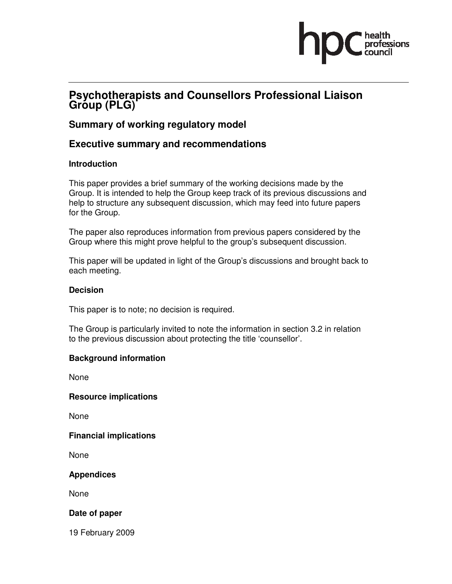# essions

# **Psychotherapists and Counsellors Professional Liaison**  Gróup (PLG)<sup>®</sup>

# **Summary of working regulatory model**

# **Executive summary and recommendations**

#### **Introduction**

This paper provides a brief summary of the working decisions made by the Group. It is intended to help the Group keep track of its previous discussions and help to structure any subsequent discussion, which may feed into future papers for the Group.

The paper also reproduces information from previous papers considered by the Group where this might prove helpful to the group's subsequent discussion.

This paper will be updated in light of the Group's discussions and brought back to each meeting.

#### **Decision**

This paper is to note; no decision is required.

The Group is particularly invited to note the information in section 3.2 in relation to the previous discussion about protecting the title 'counsellor'.

#### **Background information**

None

**Resource implications** 

None

#### **Financial implications**

None

**Appendices** 

None

#### **Date of paper**

19 February 2009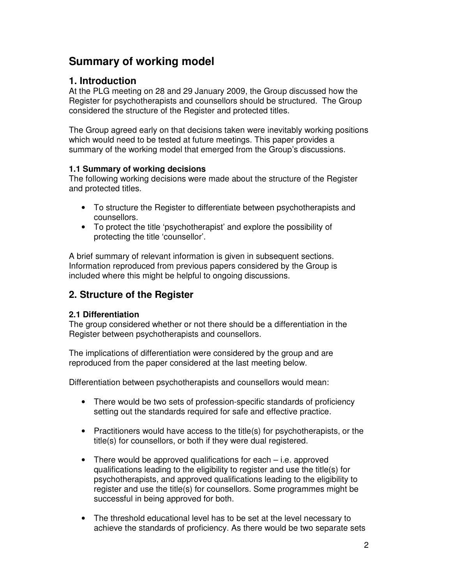# **Summary of working model**

# **1. Introduction**

At the PLG meeting on 28 and 29 January 2009, the Group discussed how the Register for psychotherapists and counsellors should be structured. The Group considered the structure of the Register and protected titles.

The Group agreed early on that decisions taken were inevitably working positions which would need to be tested at future meetings. This paper provides a summary of the working model that emerged from the Group's discussions.

#### **1.1 Summary of working decisions**

The following working decisions were made about the structure of the Register and protected titles.

- To structure the Register to differentiate between psychotherapists and counsellors.
- To protect the title 'psychotherapist' and explore the possibility of protecting the title 'counsellor'.

A brief summary of relevant information is given in subsequent sections. Information reproduced from previous papers considered by the Group is included where this might be helpful to ongoing discussions.

# **2. Structure of the Register**

#### **2.1 Differentiation**

The group considered whether or not there should be a differentiation in the Register between psychotherapists and counsellors.

The implications of differentiation were considered by the group and are reproduced from the paper considered at the last meeting below.

Differentiation between psychotherapists and counsellors would mean:

- There would be two sets of profession-specific standards of proficiency setting out the standards required for safe and effective practice.
- Practitioners would have access to the title(s) for psychotherapists, or the title(s) for counsellors, or both if they were dual registered.
- There would be approved qualifications for each i.e. approved qualifications leading to the eligibility to register and use the title(s) for psychotherapists, and approved qualifications leading to the eligibility to register and use the title(s) for counsellors. Some programmes might be successful in being approved for both.
- The threshold educational level has to be set at the level necessary to achieve the standards of proficiency. As there would be two separate sets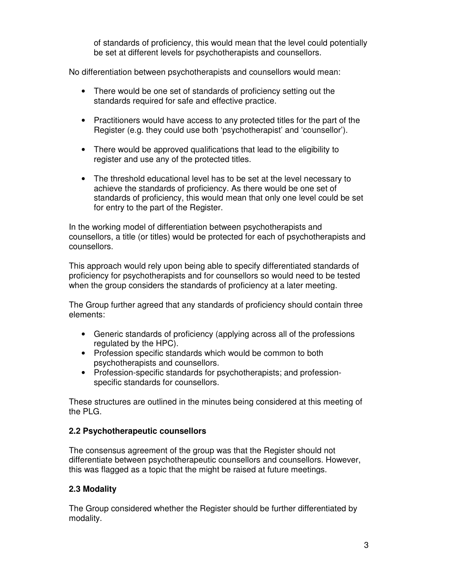of standards of proficiency, this would mean that the level could potentially be set at different levels for psychotherapists and counsellors.

No differentiation between psychotherapists and counsellors would mean:

- There would be one set of standards of proficiency setting out the standards required for safe and effective practice.
- Practitioners would have access to any protected titles for the part of the Register (e.g. they could use both 'psychotherapist' and 'counsellor').
- There would be approved qualifications that lead to the eligibility to register and use any of the protected titles.
- The threshold educational level has to be set at the level necessary to achieve the standards of proficiency. As there would be one set of standards of proficiency, this would mean that only one level could be set for entry to the part of the Register.

In the working model of differentiation between psychotherapists and counsellors, a title (or titles) would be protected for each of psychotherapists and counsellors.

This approach would rely upon being able to specify differentiated standards of proficiency for psychotherapists and for counsellors so would need to be tested when the group considers the standards of proficiency at a later meeting.

The Group further agreed that any standards of proficiency should contain three elements:

- Generic standards of proficiency (applying across all of the professions regulated by the HPC).
- Profession specific standards which would be common to both psychotherapists and counsellors.
- Profession-specific standards for psychotherapists; and professionspecific standards for counsellors.

These structures are outlined in the minutes being considered at this meeting of the PLG.

#### **2.2 Psychotherapeutic counsellors**

The consensus agreement of the group was that the Register should not differentiate between psychotherapeutic counsellors and counsellors. However, this was flagged as a topic that the might be raised at future meetings.

#### **2.3 Modality**

The Group considered whether the Register should be further differentiated by modality.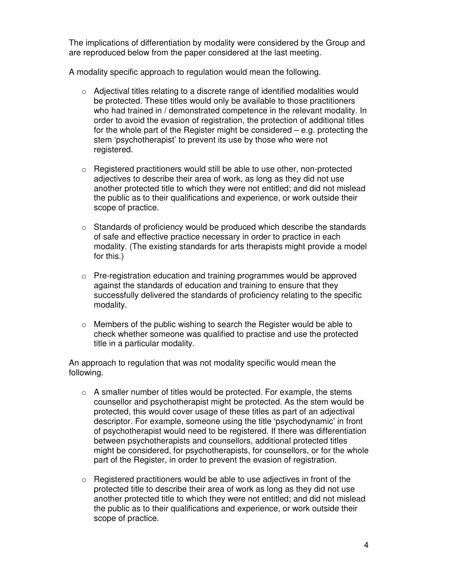The implications of differentiation by modality were considered by the Group and are reproduced below from the paper considered at the last meeting.

A modality specific approach to regulation would mean the following.

- $\circ$  Adjectival titles relating to a discrete range of identified modalities would be protected. These titles would only be available to those practitioners who had trained in / demonstrated competence in the relevant modality. In order to avoid the evasion of registration, the protection of additional titles for the whole part of the Register might be considered – e.g. protecting the stem 'psychotherapist' to prevent its use by those who were not registered.
- $\circ$  Registered practitioners would still be able to use other, non-protected adjectives to describe their area of work, as long as they did not use another protected title to which they were not entitled; and did not mislead the public as to their qualifications and experience, or work outside their scope of practice.
- $\circ$  Standards of proficiency would be produced which describe the standards of safe and effective practice necessary in order to practice in each modality. (The existing standards for arts therapists might provide a model for this.)
- o Pre-registration education and training programmes would be approved against the standards of education and training to ensure that they successfully delivered the standards of proficiency relating to the specific modality.
- o Members of the public wishing to search the Register would be able to check whether someone was qualified to practise and use the protected title in a particular modality.

An approach to regulation that was not modality specific would mean the following.

- $\circ$  A smaller number of titles would be protected. For example, the stems counsellor and psychotherapist might be protected. As the stem would be protected, this would cover usage of these titles as part of an adjectival descriptor. For example, someone using the title 'psychodynamic' in front of psychotherapist would need to be registered. If there was differentiation between psychotherapists and counsellors, additional protected titles might be considered, for psychotherapists, for counsellors, or for the whole part of the Register, in order to prevent the evasion of registration.
- o Registered practitioners would be able to use adjectives in front of the protected title to describe their area of work as long as they did not use another protected title to which they were not entitled; and did not mislead the public as to their qualifications and experience, or work outside their scope of practice.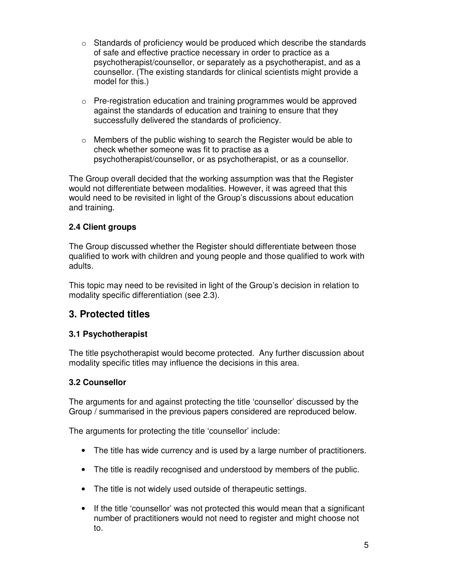- $\circ$  Standards of proficiency would be produced which describe the standards of safe and effective practice necessary in order to practice as a psychotherapist/counsellor, or separately as a psychotherapist, and as a counsellor. (The existing standards for clinical scientists might provide a model for this.)
- o Pre-registration education and training programmes would be approved against the standards of education and training to ensure that they successfully delivered the standards of proficiency.
- $\circ$  Members of the public wishing to search the Register would be able to check whether someone was fit to practise as a psychotherapist/counsellor, or as psychotherapist, or as a counsellor.

The Group overall decided that the working assumption was that the Register would not differentiate between modalities. However, it was agreed that this would need to be revisited in light of the Group's discussions about education and training.

#### **2.4 Client groups**

The Group discussed whether the Register should differentiate between those qualified to work with children and young people and those qualified to work with adults.

This topic may need to be revisited in light of the Group's decision in relation to modality specific differentiation (see 2.3).

# **3. Protected titles**

#### **3.1 Psychotherapist**

The title psychotherapist would become protected. Any further discussion about modality specific titles may influence the decisions in this area.

#### **3.2 Counsellor**

The arguments for and against protecting the title 'counsellor' discussed by the Group / summarised in the previous papers considered are reproduced below.

The arguments for protecting the title 'counsellor' include:

- The title has wide currency and is used by a large number of practitioners.
- The title is readily recognised and understood by members of the public.
- The title is not widely used outside of therapeutic settings.
- If the title 'counsellor' was not protected this would mean that a significant number of practitioners would not need to register and might choose not to.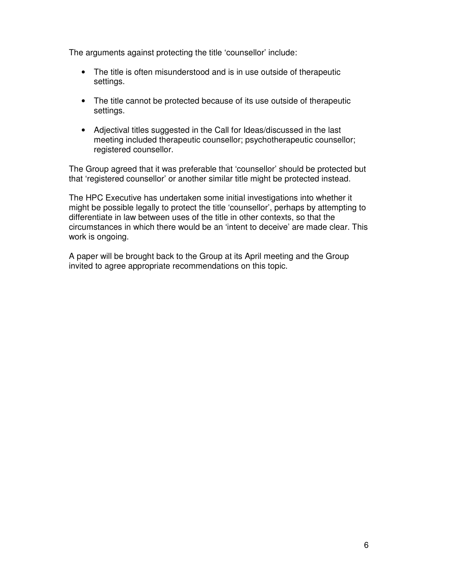The arguments against protecting the title 'counsellor' include:

- The title is often misunderstood and is in use outside of therapeutic settings.
- The title cannot be protected because of its use outside of therapeutic settings.
- Adjectival titles suggested in the Call for Ideas/discussed in the last meeting included therapeutic counsellor; psychotherapeutic counsellor; registered counsellor.

The Group agreed that it was preferable that 'counsellor' should be protected but that 'registered counsellor' or another similar title might be protected instead.

The HPC Executive has undertaken some initial investigations into whether it might be possible legally to protect the title 'counsellor', perhaps by attempting to differentiate in law between uses of the title in other contexts, so that the circumstances in which there would be an 'intent to deceive' are made clear. This work is ongoing.

A paper will be brought back to the Group at its April meeting and the Group invited to agree appropriate recommendations on this topic.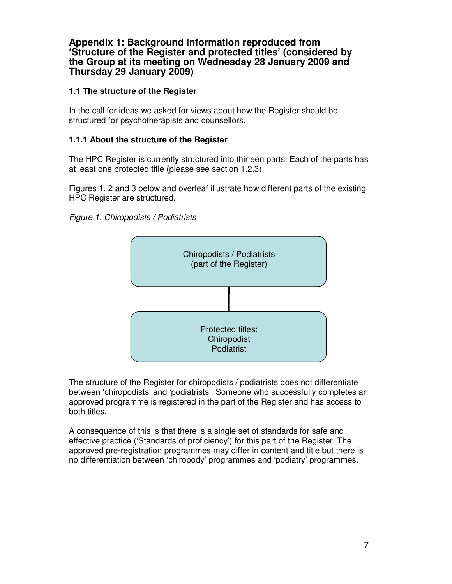#### **Appendix 1: Background information reproduced from 'Structure of the Register and protected titles' (considered by the Group at its meeting on Wednesday 28 January 2009 and Thursday 29 January 2009)**

#### **1.1 The structure of the Register**

In the call for ideas we asked for views about how the Register should be structured for psychotherapists and counsellors.

#### **1.1.1 About the structure of the Register**

The HPC Register is currently structured into thirteen parts. Each of the parts has at least one protected title (please see section 1.2.3).

Figures 1, 2 and 3 below and overleaf illustrate how different parts of the existing HPC Register are structured.





The structure of the Register for chiropodists / podiatrists does not differentiate between 'chiropodists' and 'podiatrists'. Someone who successfully completes an approved programme is registered in the part of the Register and has access to both titles.

A consequence of this is that there is a single set of standards for safe and effective practice ('Standards of proficiency') for this part of the Register. The approved pre-registration programmes may differ in content and title but there is no differentiation between 'chiropody' programmes and 'podiatry' programmes.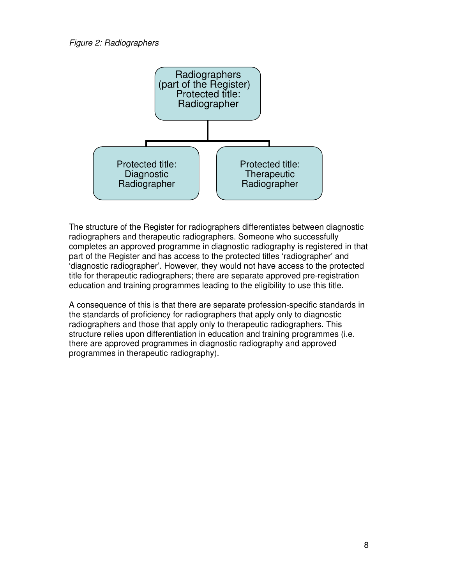#### Figure 2: Radiographers



The structure of the Register for radiographers differentiates between diagnostic radiographers and therapeutic radiographers. Someone who successfully completes an approved programme in diagnostic radiography is registered in that part of the Register and has access to the protected titles 'radiographer' and 'diagnostic radiographer'. However, they would not have access to the protected title for therapeutic radiographers; there are separate approved pre-registration education and training programmes leading to the eligibility to use this title.

A consequence of this is that there are separate profession-specific standards in the standards of proficiency for radiographers that apply only to diagnostic radiographers and those that apply only to therapeutic radiographers. This structure relies upon differentiation in education and training programmes (i.e. there are approved programmes in diagnostic radiography and approved programmes in therapeutic radiography).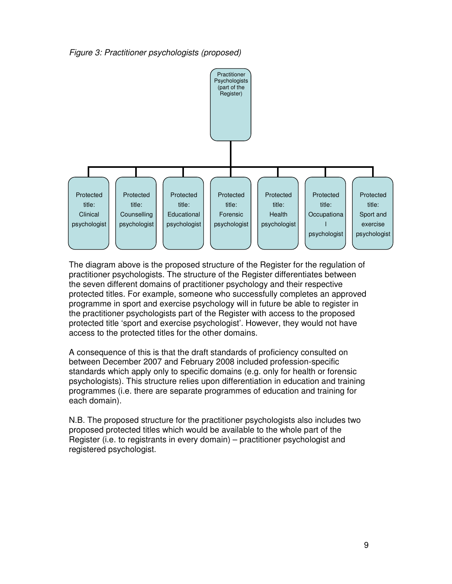Figure 3: Practitioner psychologists (proposed)



The diagram above is the proposed structure of the Register for the regulation of practitioner psychologists. The structure of the Register differentiates between the seven different domains of practitioner psychology and their respective protected titles. For example, someone who successfully completes an approved programme in sport and exercise psychology will in future be able to register in the practitioner psychologists part of the Register with access to the proposed protected title 'sport and exercise psychologist'. However, they would not have access to the protected titles for the other domains.

A consequence of this is that the draft standards of proficiency consulted on between December 2007 and February 2008 included profession-specific standards which apply only to specific domains (e.g. only for health or forensic psychologists). This structure relies upon differentiation in education and training programmes (i.e. there are separate programmes of education and training for each domain).

N.B. The proposed structure for the practitioner psychologists also includes two proposed protected titles which would be available to the whole part of the Register (i.e. to registrants in every domain) – practitioner psychologist and registered psychologist.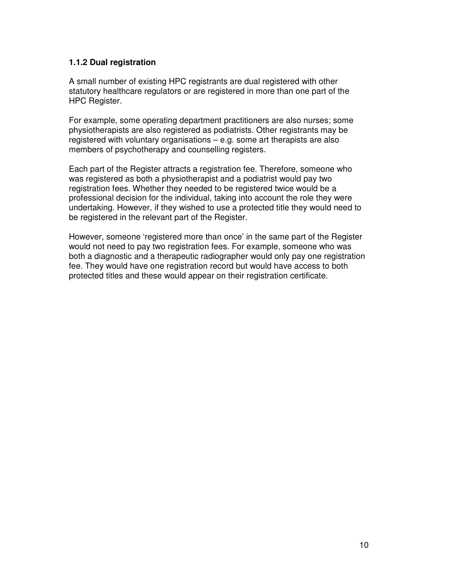#### **1.1.2 Dual registration**

A small number of existing HPC registrants are dual registered with other statutory healthcare regulators or are registered in more than one part of the HPC Register.

For example, some operating department practitioners are also nurses; some physiotherapists are also registered as podiatrists. Other registrants may be registered with voluntary organisations – e.g. some art therapists are also members of psychotherapy and counselling registers.

Each part of the Register attracts a registration fee. Therefore, someone who was registered as both a physiotherapist and a podiatrist would pay two registration fees. Whether they needed to be registered twice would be a professional decision for the individual, taking into account the role they were undertaking. However, if they wished to use a protected title they would need to be registered in the relevant part of the Register.

However, someone 'registered more than once' in the same part of the Register would not need to pay two registration fees. For example, someone who was both a diagnostic and a therapeutic radiographer would only pay one registration fee. They would have one registration record but would have access to both protected titles and these would appear on their registration certificate.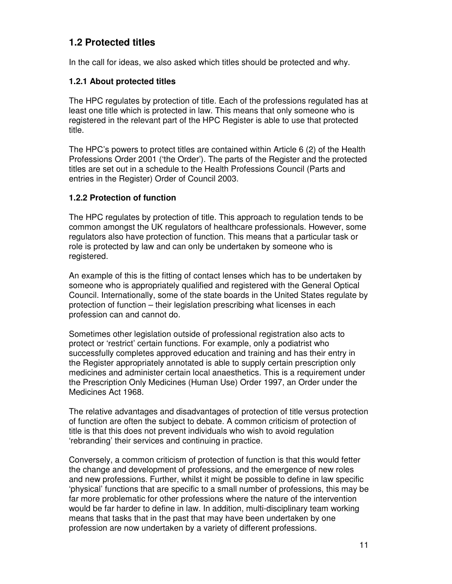# **1.2 Protected titles**

In the call for ideas, we also asked which titles should be protected and why.

#### **1.2.1 About protected titles**

The HPC regulates by protection of title. Each of the professions regulated has at least one title which is protected in law. This means that only someone who is registered in the relevant part of the HPC Register is able to use that protected title.

The HPC's powers to protect titles are contained within Article 6 (2) of the Health Professions Order 2001 ('the Order'). The parts of the Register and the protected titles are set out in a schedule to the Health Professions Council (Parts and entries in the Register) Order of Council 2003.

#### **1.2.2 Protection of function**

The HPC regulates by protection of title. This approach to regulation tends to be common amongst the UK regulators of healthcare professionals. However, some regulators also have protection of function. This means that a particular task or role is protected by law and can only be undertaken by someone who is registered.

An example of this is the fitting of contact lenses which has to be undertaken by someone who is appropriately qualified and registered with the General Optical Council. Internationally, some of the state boards in the United States regulate by protection of function – their legislation prescribing what licenses in each profession can and cannot do.

Sometimes other legislation outside of professional registration also acts to protect or 'restrict' certain functions. For example, only a podiatrist who successfully completes approved education and training and has their entry in the Register appropriately annotated is able to supply certain prescription only medicines and administer certain local anaesthetics. This is a requirement under the Prescription Only Medicines (Human Use) Order 1997, an Order under the Medicines Act 1968.

The relative advantages and disadvantages of protection of title versus protection of function are often the subject to debate. A common criticism of protection of title is that this does not prevent individuals who wish to avoid regulation 'rebranding' their services and continuing in practice.

Conversely, a common criticism of protection of function is that this would fetter the change and development of professions, and the emergence of new roles and new professions. Further, whilst it might be possible to define in law specific 'physical' functions that are specific to a small number of professions, this may be far more problematic for other professions where the nature of the intervention would be far harder to define in law. In addition, multi-disciplinary team working means that tasks that in the past that may have been undertaken by one profession are now undertaken by a variety of different professions.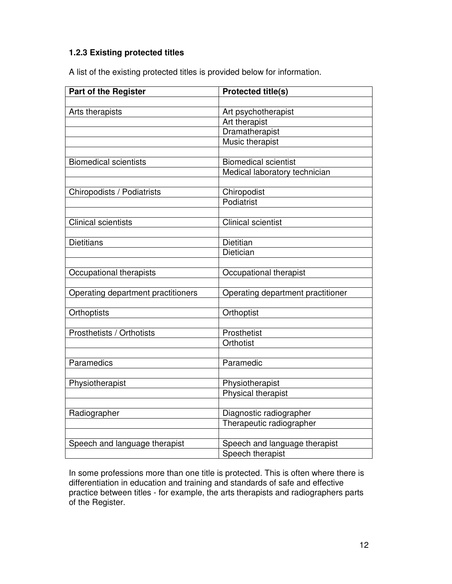#### **1.2.3 Existing protected titles**

A list of the existing protected titles is provided below for information.

| <b>Part of the Register</b>        | <b>Protected title(s)</b>         |
|------------------------------------|-----------------------------------|
|                                    |                                   |
| Arts therapists                    | Art psychotherapist               |
|                                    | <b>Art therapist</b>              |
|                                    | Dramatherapist                    |
|                                    | Music therapist                   |
|                                    |                                   |
| <b>Biomedical scientists</b>       | <b>Biomedical scientist</b>       |
|                                    | Medical laboratory technician     |
|                                    |                                   |
| Chiropodists / Podiatrists         | Chiropodist                       |
|                                    | Podiatrist                        |
|                                    |                                   |
| <b>Clinical scientists</b>         | <b>Clinical scientist</b>         |
|                                    |                                   |
| <b>Dietitians</b>                  | <b>Dietitian</b>                  |
|                                    | Dietician                         |
| Occupational therapists            | Occupational therapist            |
|                                    |                                   |
| Operating department practitioners | Operating department practitioner |
|                                    |                                   |
| Orthoptists                        | Orthoptist                        |
|                                    |                                   |
| Prosthetists / Orthotists          | Prosthetist                       |
|                                    | Orthotist                         |
|                                    |                                   |
| Paramedics                         | Paramedic                         |
|                                    |                                   |
| Physiotherapist                    | Physiotherapist                   |
|                                    | Physical therapist                |
|                                    |                                   |
| Radiographer                       | Diagnostic radiographer           |
|                                    | Therapeutic radiographer          |
|                                    |                                   |
| Speech and language therapist      | Speech and language therapist     |
|                                    | Speech therapist                  |

In some professions more than one title is protected. This is often where there is differentiation in education and training and standards of safe and effective practice between titles - for example, the arts therapists and radiographers parts of the Register.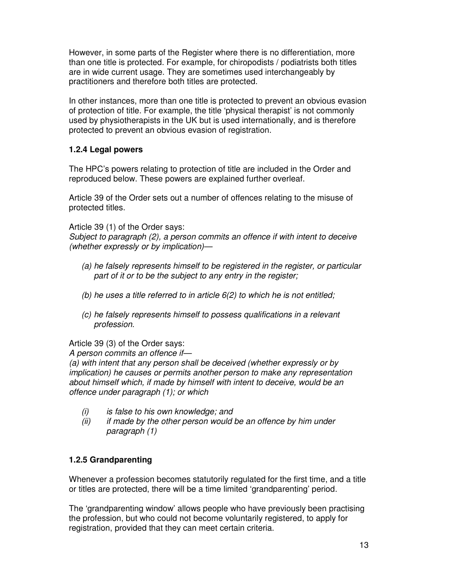However, in some parts of the Register where there is no differentiation, more than one title is protected. For example, for chiropodists / podiatrists both titles are in wide current usage. They are sometimes used interchangeably by practitioners and therefore both titles are protected.

In other instances, more than one title is protected to prevent an obvious evasion of protection of title. For example, the title 'physical therapist' is not commonly used by physiotherapists in the UK but is used internationally, and is therefore protected to prevent an obvious evasion of registration.

#### **1.2.4 Legal powers**

The HPC's powers relating to protection of title are included in the Order and reproduced below. These powers are explained further overleaf.

Article 39 of the Order sets out a number of offences relating to the misuse of protected titles.

Article 39 (1) of the Order says:

Subject to paragraph (2), a person commits an offence if with intent to deceive (whether expressly or by implication)—

- (a) he falsely represents himself to be registered in the register, or particular part of it or to be the subject to any entry in the register;
- (b) he uses a title referred to in article  $6(2)$  to which he is not entitled;
- (c) he falsely represents himself to possess qualifications in a relevant profession.

Article 39 (3) of the Order says:

A person commits an offence if—

(a) with intent that any person shall be deceived (whether expressly or by implication) he causes or permits another person to make any representation about himself which, if made by himself with intent to deceive, would be an offence under paragraph (1); or which

- (i) is false to his own knowledge; and
- $(ii)$  if made by the other person would be an offence by him under paragraph (1)

#### **1.2.5 Grandparenting**

Whenever a profession becomes statutorily regulated for the first time, and a title or titles are protected, there will be a time limited 'grandparenting' period.

The 'grandparenting window' allows people who have previously been practising the profession, but who could not become voluntarily registered, to apply for registration, provided that they can meet certain criteria.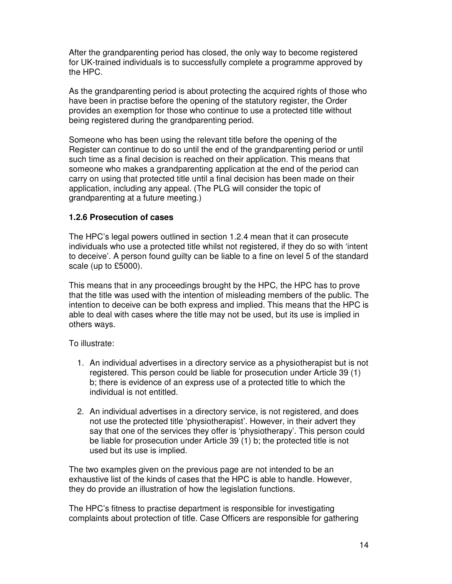After the grandparenting period has closed, the only way to become registered for UK-trained individuals is to successfully complete a programme approved by the HPC.

As the grandparenting period is about protecting the acquired rights of those who have been in practise before the opening of the statutory register, the Order provides an exemption for those who continue to use a protected title without being registered during the grandparenting period.

Someone who has been using the relevant title before the opening of the Register can continue to do so until the end of the grandparenting period or until such time as a final decision is reached on their application. This means that someone who makes a grandparenting application at the end of the period can carry on using that protected title until a final decision has been made on their application, including any appeal. (The PLG will consider the topic of grandparenting at a future meeting.)

#### **1.2.6 Prosecution of cases**

The HPC's legal powers outlined in section 1.2.4 mean that it can prosecute individuals who use a protected title whilst not registered, if they do so with 'intent to deceive'. A person found guilty can be liable to a fine on level 5 of the standard scale (up to £5000).

This means that in any proceedings brought by the HPC, the HPC has to prove that the title was used with the intention of misleading members of the public. The intention to deceive can be both express and implied. This means that the HPC is able to deal with cases where the title may not be used, but its use is implied in others ways.

To illustrate:

- 1. An individual advertises in a directory service as a physiotherapist but is not registered. This person could be liable for prosecution under Article 39 (1) b; there is evidence of an express use of a protected title to which the individual is not entitled.
- 2. An individual advertises in a directory service, is not registered, and does not use the protected title 'physiotherapist'. However, in their advert they say that one of the services they offer is 'physiotherapy'. This person could be liable for prosecution under Article 39 (1) b; the protected title is not used but its use is implied.

The two examples given on the previous page are not intended to be an exhaustive list of the kinds of cases that the HPC is able to handle. However, they do provide an illustration of how the legislation functions.

The HPC's fitness to practise department is responsible for investigating complaints about protection of title. Case Officers are responsible for gathering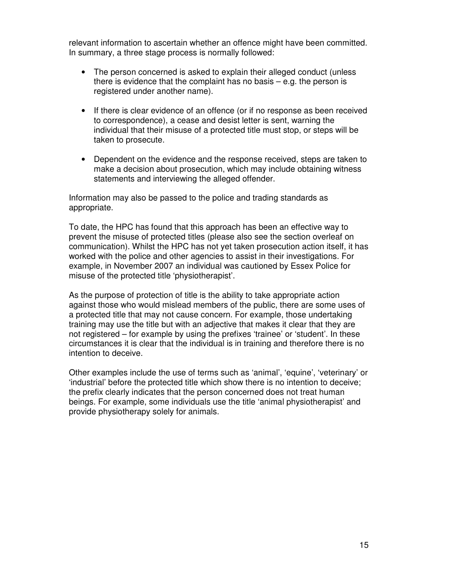relevant information to ascertain whether an offence might have been committed. In summary, a three stage process is normally followed:

- The person concerned is asked to explain their alleged conduct (unless there is evidence that the complaint has no basis  $-$  e.g. the person is registered under another name).
- If there is clear evidence of an offence (or if no response as been received to correspondence), a cease and desist letter is sent, warning the individual that their misuse of a protected title must stop, or steps will be taken to prosecute.
- Dependent on the evidence and the response received, steps are taken to make a decision about prosecution, which may include obtaining witness statements and interviewing the alleged offender.

Information may also be passed to the police and trading standards as appropriate.

To date, the HPC has found that this approach has been an effective way to prevent the misuse of protected titles (please also see the section overleaf on communication). Whilst the HPC has not yet taken prosecution action itself, it has worked with the police and other agencies to assist in their investigations. For example, in November 2007 an individual was cautioned by Essex Police for misuse of the protected title 'physiotherapist'.

As the purpose of protection of title is the ability to take appropriate action against those who would mislead members of the public, there are some uses of a protected title that may not cause concern. For example, those undertaking training may use the title but with an adjective that makes it clear that they are not registered – for example by using the prefixes 'trainee' or 'student'. In these circumstances it is clear that the individual is in training and therefore there is no intention to deceive.

Other examples include the use of terms such as 'animal', 'equine', 'veterinary' or 'industrial' before the protected title which show there is no intention to deceive; the prefix clearly indicates that the person concerned does not treat human beings. For example, some individuals use the title 'animal physiotherapist' and provide physiotherapy solely for animals.